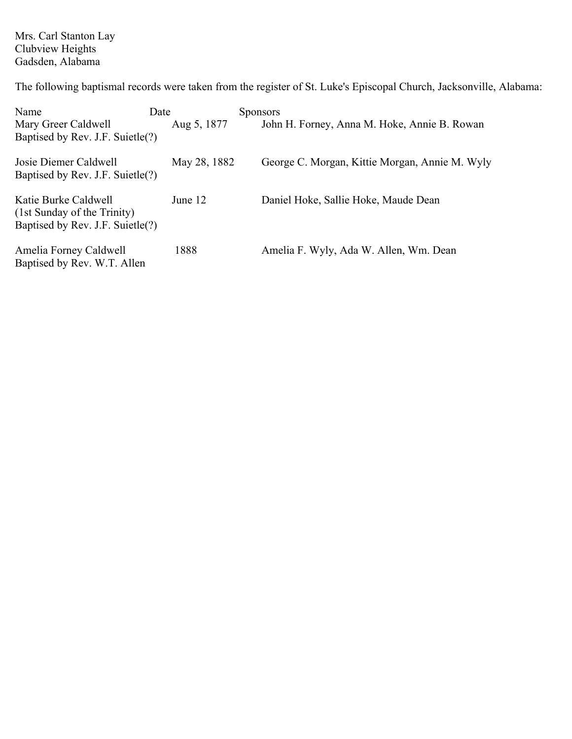Mrs. Carl Stanton Lay Clubview Heights Gadsden, Alabama

The following baptismal records were taken from the register of St. Luke's Episcopal Church, Jacksonville, Alabama:

| Name<br>Mary Greer Caldwell<br>Baptised by Rev. J.F. Suietle(?)                         | Date<br>Aug 5, 1877 | <b>Sponsors</b><br>John H. Forney, Anna M. Hoke, Annie B. Rowan |
|-----------------------------------------------------------------------------------------|---------------------|-----------------------------------------------------------------|
| Josie Diemer Caldwell<br>Baptised by Rev. J.F. Suietle(?)                               | May 28, 1882        | George C. Morgan, Kittie Morgan, Annie M. Wyly                  |
| Katie Burke Caldwell<br>(1st Sunday of the Trinity)<br>Baptised by Rev. J.F. Suietle(?) | June 12             | Daniel Hoke, Sallie Hoke, Maude Dean                            |
| Amelia Forney Caldwell<br>Baptised by Rev. W.T. Allen                                   | 1888                | Amelia F. Wyly, Ada W. Allen, Wm. Dean                          |